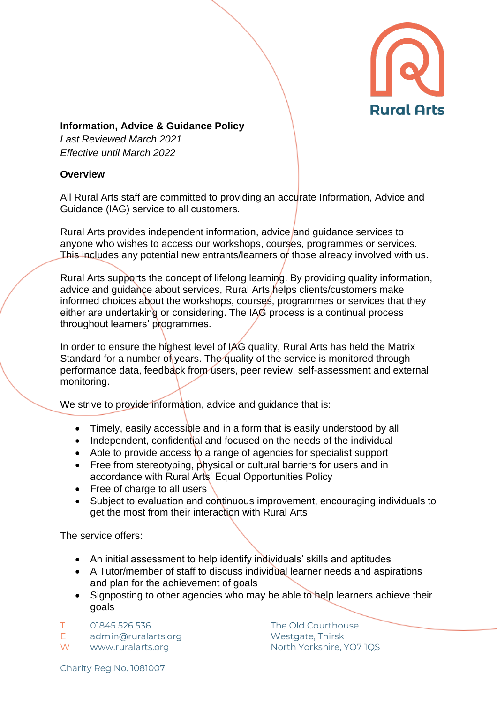

## **Information, Advice & Guidance Policy**

*Last Reviewed March 2021 Effective until March 2022*

## **Overview**

All Rural Arts staff are committed to providing an accurate Information, Advice and Guidance (IAG) service to all customers.

Rural Arts provides independent information, advice and guidance services to anyone who wishes to access our workshops, courses, programmes or services. This includes any potential new entrants/learners or those already involved with us.

Rural Arts supports the concept of lifelong learning. By providing quality information, advice and guidance about services, Rural Arts helps clients/customers make informed choices about the workshops, courses, programmes or services that they either are undertaking or considering. The IAG process is a continual process throughout learners' programmes.

In order to ensure the highest level of IAG quality, Rural Arts has held the Matrix Standard for a number of years. The quality of the service is monitored through performance data, feedback from users, peer review, self-assessment and external monitoring.

We strive to provide information, advice and guidance that is:

- Timely, easily accessible and in a form that is easily understood by all
- Independent, confidential and focused on the needs of the individual
- Able to provide access to a range of agencies for specialist support
- Free from stereotyping, physical or cultural barriers for users and in accordance with Rural Arts' Equal Opportunities Policy
- Free of charge to all users
- Subject to evaluation and continuous improvement, encouraging individuals to get the most from their interaction with Rural Arts

The service offers:

- An initial assessment to help identify individuals' skills and aptitudes
- A Tutor/member of staff to discuss individual learner needs and aspirations and plan for the achievement of goals
- Signposting to other agencies who may be able to help learners achieve their goals

T 01845 526 536 The Old Courthouse

E admin@ruralarts.org Westgate, Thirsk

W www.ruralarts.org North Yorkshire, YO7 1QS

Charity Reg No. 1081007